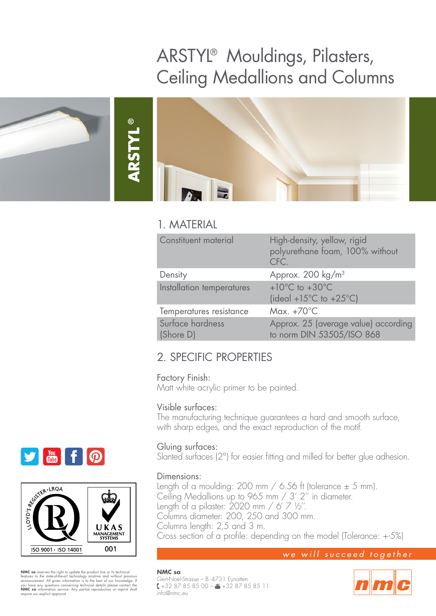# ARSTYL® Mouldings, Pilasters, Ceiling Medallions and Columns





# 1. MATERIAL

**®**

| Constituent material          | High-density, yellow, rigid<br>polyurethane foam, 100% without<br>CFC.             |
|-------------------------------|------------------------------------------------------------------------------------|
| Density                       | Approx. 200 kg/m <sup>3</sup>                                                      |
| Installation temperatures     | $+10^{\circ}$ C to $+30^{\circ}$ C<br>(ideal +15 $^{\circ}$ C to +25 $^{\circ}$ C) |
| Temperatures resistance       | Max. $+70^{\circ}$ C                                                               |
| Surface hardness<br>(Shore D) | Approx. 25 (average value) according<br>to norm DIN 53505/ISO 868                  |

# 2. SPECIFIC PROPERTIES

#### Factory Finish:

Matt white acrylic primer to be painted.

### Visible surfaces:

The manufacturing technique guarantees a hard and smooth surface, with sharp edges, and the exact reproduction of the motif.

### Gluing surfaces:

Slanted surfaces (2°) for easier fitting and milled for better glue adhesion.

#### Dimensions:

Length of a moulding: 200 mm  $/$  6.56 ft (tolerance  $\pm$  5 mm). Ceiling Medallions up to 965 mm / 3' 2'' in diameter. Length of a pilaster: 2020 mm / 6' 7 ½''. Columns diameter: 200, 250 and 300 mm. Columns length: 2,5 and 3 m. Cross section of a profile: depending on the model (Tolerance: +-5%)

### we will succeed together

**NMC sa** Gert-Noël-Strasse – B-4731 Eynatten  $\binom{2}{1}$  + 32 87 85 85 85 00 –  $\binom{3}{2}$  + 32 87 85 85 11 info@nmc.eu







**NMC sa** reserves the right to update the product line or its technical features to the state-of-heart enchology anytime and without previous announcement. All given information is to the best of our knowledge. If you have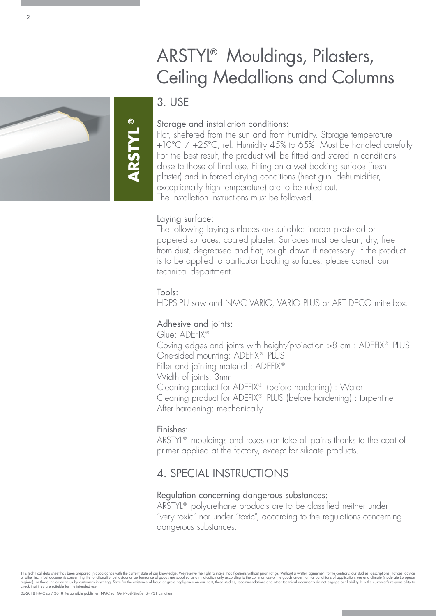# ARSTYL® Mouldings, Pilasters, Ceiling Medallions and Columns

# 3. USE

**ARSTYL**

**®**

## Storage and installation conditions:

Flat, sheltered from the sun and from humidity. Storage temperature +10°C / +25°C, rel. Humidity 45% to 65%. Must be handled carefully. For the best result, the product will be fitted and stored in conditions close to those of final use. Fitting on a wet backing surface (fresh plaster) and in forced drying conditions (heat gun, dehumidifier, exceptionally high temperature) are to be ruled out. The installation instructions must be followed.

## Laying surface:

The following laying surfaces are suitable: indoor plastered or papered surfaces, coated plaster. Surfaces must be clean, dry, free from dust, degreased and flat; rough down if necessary. If the product is to be applied to particular backing surfaces, please consult our technical department.

### Tools:

HDPS-PU saw and NMC VARIO, VARIO PLUS or ART DECO mitre-box.

## Adhesive and joints:

Glue: ADEFIX® Coving edges and joints with height/projection >8 cm : ADEFIX® PLUS One-sided mounting: ADEFIX® PLUS Filler and jointing material : ADEFIX® Width of joints: 3mm Cleaning product for ADEFIX® (before hardening) : Water Cleaning product for ADEFIX® PLUS (before hardening) : turpentine After hardening: mechanically

## Finishes:

ARSTYL<sup>®</sup> mouldings and roses can take all paints thanks to the coat of primer applied at the factory, except for silicate products.

# 4. SPECIAL INSTRUCTIONS

### Regulation concerning dangerous substances:

ARSTYL® polyurethane products are to be classified neither under "very toxic" nor under "toxic", according to the regulations concerning dangerous substances.



This technical data sheet has been prepared in accordance with the current state of our knowledge. We reserve the right to make modifications without prior notice. Without a written agreement to the contrary, our studies,